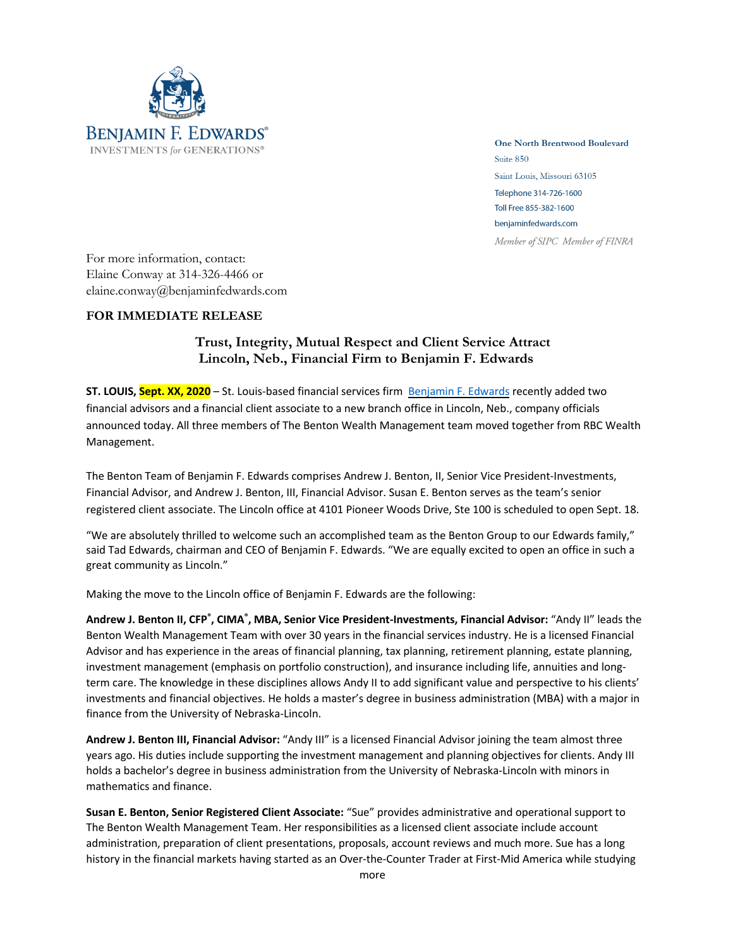

**One North Brentwood Boulevard** Suite 850 Saint Louis, Missouri 63105 Telephone 314-726-1600 Toll Free 855-382-1600 benjaminfedwards.com Member of SIPC Member of FINRA

For more information, contact: Elaine Conway at 314-326-4466 or elaine.conway@benjaminfedwards.com

## **FOR IMMEDIATE RELEASE**

## **Trust, Integrity, Mutual Respect and Client Service Attract Lincoln, Neb., Financial Firm to Benjamin F. Edwards**

**ST. LOUIS, Sept. XX, 2020** – St. Louis-based financial services firm Benjamin F. Edwards recently added two financial advisors and a financial client associate to a new branch office in Lincoln, Neb., company officials announced today. All three members of The Benton Wealth Management team moved together from RBC Wealth Management.

The Benton Team of Benjamin F. Edwards comprises Andrew J. Benton, II, Senior Vice President-Investments, Financial Advisor, and Andrew J. Benton, III, Financial Advisor. Susan E. Benton serves as the team's senior registered client associate. The Lincoln office at 4101 Pioneer Woods Drive, Ste 100 is scheduled to open Sept. 18.

"We are absolutely thrilled to welcome such an accomplished team as the Benton Group to our Edwards family," said Tad Edwards, chairman and CEO of Benjamin F. Edwards. "We are equally excited to open an office in such a great community as Lincoln."

Making the move to the Lincoln office of Benjamin F. Edwards are the following:

Andrew J. Benton II, CFP<sup>®</sup>, CIMA®, MBA, Senior Vice President-Investments, Financial Advisor: "Andy II" leads the Benton Wealth Management Team with over 30 years in the financial services industry. He is a licensed Financial Advisor and has experience in the areas of financial planning, tax planning, retirement planning, estate planning, investment management (emphasis on portfolio construction), and insurance including life, annuities and longterm care. The knowledge in these disciplines allows Andy II to add significant value and perspective to his clients' investments and financial objectives. He holds a master's degree in business administration (MBA) with a major in finance from the University of Nebraska-Lincoln.

**Andrew J. Benton III, Financial Advisor:** "Andy III" is a licensed Financial Advisor joining the team almost three years ago. His duties include supporting the investment management and planning objectives for clients. Andy III holds a bachelor's degree in business administration from the University of Nebraska-Lincoln with minors in mathematics and finance.

**Susan E. Benton, Senior Registered Client Associate:** "Sue" provides administrative and operational support to The Benton Wealth Management Team. Her responsibilities as a licensed client associate include account administration, preparation of client presentations, proposals, account reviews and much more. Sue has a long history in the financial markets having started as an Over-the-Counter Trader at First-Mid America while studying